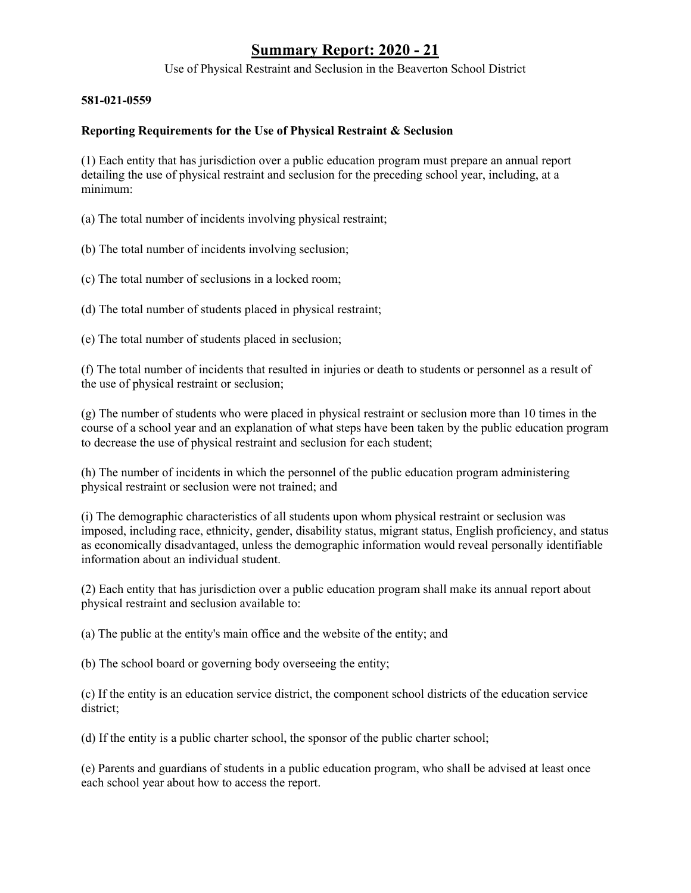Use of Physical Restraint and Seclusion in the Beaverton School District

#### **581-021-0559**

### **Reporting Requirements for the Use of Physical Restraint & Seclusion**

(1) Each entity that has jurisdiction over a public education program must prepare an annual report detailing the use of physical restraint and seclusion for the preceding school year, including, at a minimum:

(a) The total number of incidents involving physical restraint;

(b) The total number of incidents involving seclusion;

(c) The total number of seclusions in a locked room;

(d) The total number of students placed in physical restraint;

(e) The total number of students placed in seclusion;

(f) The total number of incidents that resulted in injuries or death to students or personnel as a result of the use of physical restraint or seclusion;

(g) The number of students who were placed in physical restraint or seclusion more than 10 times in the course of a school year and an explanation of what steps have been taken by the public education program to decrease the use of physical restraint and seclusion for each student;

(h) The number of incidents in which the personnel of the public education program administering physical restraint or seclusion were not trained; and

(i) The demographic characteristics of all students upon whom physical restraint or seclusion was imposed, including race, ethnicity, gender, disability status, migrant status, English proficiency, and status as economically disadvantaged, unless the demographic information would reveal personally identifiable information about an individual student.

(2) Each entity that has jurisdiction over a public education program shall make its annual report about physical restraint and seclusion available to:

(a) The public at the entity's main office and the website of the entity; and

(b) The school board or governing body overseeing the entity;

(c) If the entity is an education service district, the component school districts of the education service district;

(d) If the entity is a public charter school, the sponsor of the public charter school;

(e) Parents and guardians of students in a public education program, who shall be advised at least once each school year about how to access the report.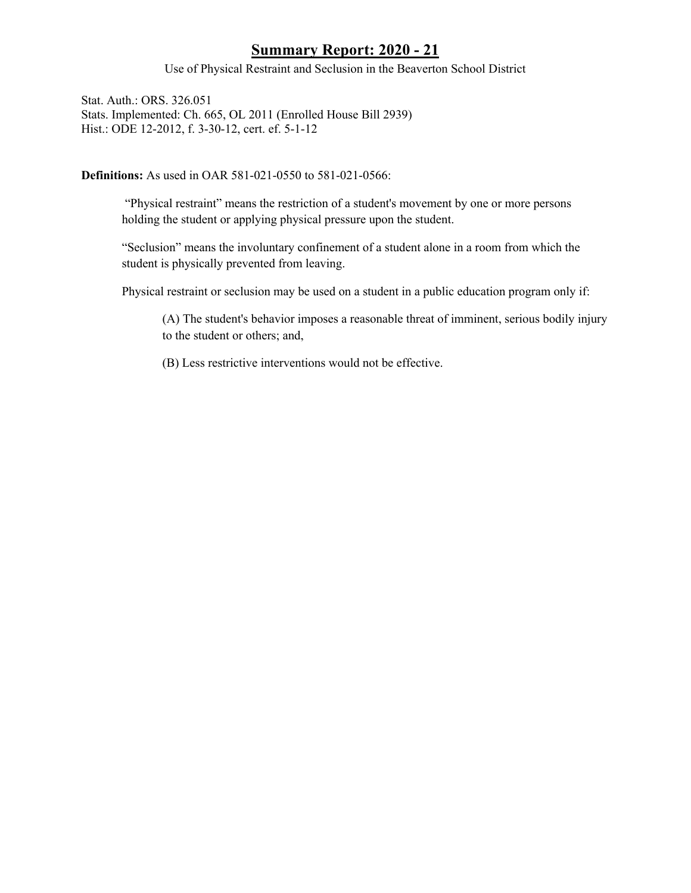Use of Physical Restraint and Seclusion in the Beaverton School District

Stat. Auth.: ORS. 326.051 Stats. Implemented: Ch. 665, OL 2011 (Enrolled House Bill 2939) Hist.: ODE 12-2012, f. 3-30-12, cert. ef. 5-1-12

**Definitions:** As used in OAR 581-021-0550 to 581-021-0566:

"Physical restraint" means the restriction of a student's movement by one or more persons holding the student or applying physical pressure upon the student.

"Seclusion" means the involuntary confinement of a student alone in a room from which the student is physically prevented from leaving.

Physical restraint or seclusion may be used on a student in a public education program only if:

(A) The student's behavior imposes a reasonable threat of imminent, serious bodily injury to the student or others; and,

(B) Less restrictive interventions would not be effective.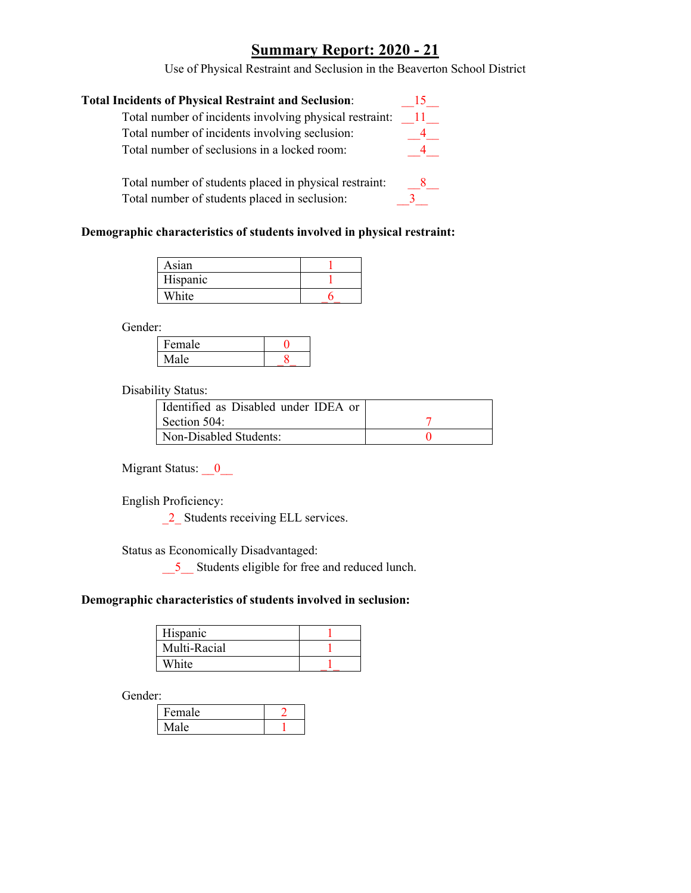Use of Physical Restraint and Seclusion in the Beaverton School District

| <b>Total Incidents of Physical Restraint and Seclusion:</b> |     |
|-------------------------------------------------------------|-----|
| Total number of incidents involving physical restraint:     | -11 |
| Total number of incidents involving seclusion:              |     |
| Total number of seclusions in a locked room:                |     |
|                                                             |     |

Total number of students placed in physical restraint: \_\_\_\_\_\_\_\_\_\_\_\_\_\_\_\_\_\_\_\_\_\_\_\_\_\_ Total number of students placed in seclusion: 3

### **Demographic characteristics of students involved in physical restraint:**

| Asian    |  |
|----------|--|
| Hispanic |  |
| White    |  |

Gender:

| Female |  |
|--------|--|
| Aale.  |  |

Disability Status:

| Identified as Disabled under IDEA or |  |
|--------------------------------------|--|
| Section 504:                         |  |
| Non-Disabled Students:               |  |

Migrant Status: <u>0</u>\_

English Proficiency:

\_2\_ Students receiving ELL services.

Status as Economically Disadvantaged:

\_\_5\_\_ Students eligible for free and reduced lunch.

#### **Demographic characteristics of students involved in seclusion:**

| Hispanic     |  |
|--------------|--|
| Multi-Racial |  |
| White        |  |

Gender:

| Female |  |
|--------|--|
| ıρ     |  |